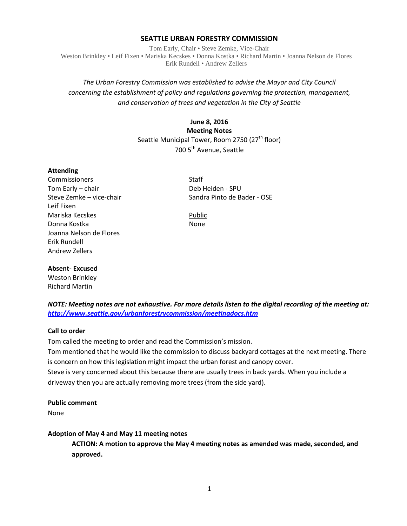## **SEATTLE URBAN FORESTRY COMMISSION**

Tom Early, Chair • Steve Zemke, Vice-Chair Weston Brinkley • Leif Fixen • Mariska Kecskes • Donna Kostka • Richard Martin • Joanna Nelson de Flores Erik Rundell • Andrew Zellers

# *The Urban Forestry Commission was established to advise the Mayor and City Council concerning the establishment of policy and regulations governing the protection, management, and conservation of trees and vegetation in the City of Seattle*

# **June 8, 2016 Meeting Notes** Seattle Municipal Tower, Room 2750 (27<sup>th</sup> floor) 700 5<sup>th</sup> Avenue, Seattle

#### **Attending**

Commissioners Staff Tom Early – chair **Deb Heiden** - SPU Leif Fixen Mariska Kecskes **Public** Public Donna Kostka None Joanna Nelson de Flores Erik Rundell Andrew Zellers

Steve Zemke – vice-chair Sandra Pinto de Bader - OSE

#### **Absent- Excused**

Weston Brinkley Richard Martin

## *NOTE: Meeting notes are not exhaustive. For more details listen to the digital recording of the meeting at: <http://www.seattle.gov/urbanforestrycommission/meetingdocs.htm>*

## **Call to order**

Tom called the meeting to order and read the Commission's mission.

Tom mentioned that he would like the commission to discuss backyard cottages at the next meeting. There is concern on how this legislation might impact the urban forest and canopy cover.

Steve is very concerned about this because there are usually trees in back yards. When you include a driveway then you are actually removing more trees (from the side yard).

#### **Public comment**

None

#### **Adoption of May 4 and May 11 meeting notes**

**ACTION: A motion to approve the May 4 meeting notes as amended was made, seconded, and approved.**